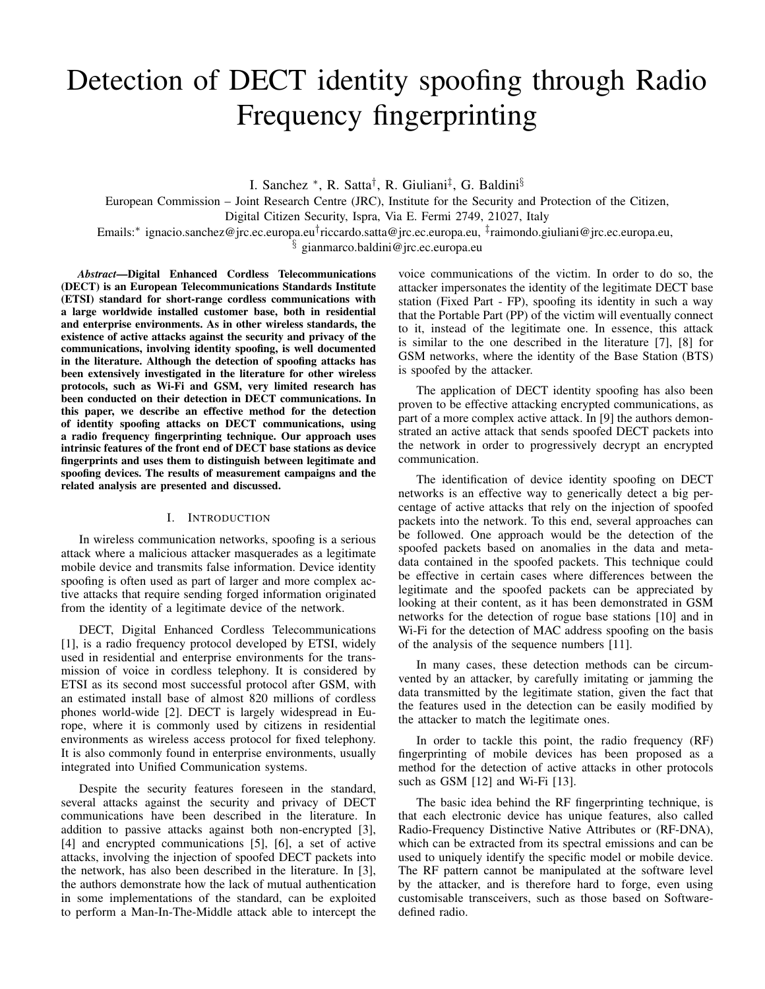# Detection of DECT identity spoofing through Radio Frequency fingerprinting

I. Sanchez <sup>∗</sup> , R. Satta† , R. Giuliani‡ , G. Baldini§

European Commission – Joint Research Centre (JRC), Institute for the Security and Protection of the Citizen,

Digital Citizen Security, Ispra, Via E. Fermi 2749, 21027, Italy

Emails:\* ignacio.sanchez@jrc.ec.europa.eu†riccardo.satta@jrc.ec.europa.eu, <sup>‡</sup>raimondo.giuliani@jrc.ec.europa.eu, § gianmarco.baldini@jrc.ec.europa.eu

*Abstract*—Digital Enhanced Cordless Telecommunications (DECT) is an European Telecommunications Standards Institute (ETSI) standard for short-range cordless communications with a large worldwide installed customer base, both in residential and enterprise environments. As in other wireless standards, the existence of active attacks against the security and privacy of the communications, involving identity spoofing, is well documented in the literature. Although the detection of spoofing attacks has been extensively investigated in the literature for other wireless protocols, such as Wi-Fi and GSM, very limited research has been conducted on their detection in DECT communications. In this paper, we describe an effective method for the detection of identity spoofing attacks on DECT communications, using a radio frequency fingerprinting technique. Our approach uses intrinsic features of the front end of DECT base stations as device fingerprints and uses them to distinguish between legitimate and spoofing devices. The results of measurement campaigns and the related analysis are presented and discussed.

## I. INTRODUCTION

In wireless communication networks, spoofing is a serious attack where a malicious attacker masquerades as a legitimate mobile device and transmits false information. Device identity spoofing is often used as part of larger and more complex active attacks that require sending forged information originated from the identity of a legitimate device of the network.

DECT, Digital Enhanced Cordless Telecommunications [1], is a radio frequency protocol developed by ETSI, widely used in residential and enterprise environments for the transmission of voice in cordless telephony. It is considered by ETSI as its second most successful protocol after GSM, with an estimated install base of almost 820 millions of cordless phones world-wide [2]. DECT is largely widespread in Europe, where it is commonly used by citizens in residential environments as wireless access protocol for fixed telephony. It is also commonly found in enterprise environments, usually integrated into Unified Communication systems.

Despite the security features foreseen in the standard, several attacks against the security and privacy of DECT communications have been described in the literature. In addition to passive attacks against both non-encrypted [3], [4] and encrypted communications [5], [6], a set of active attacks, involving the injection of spoofed DECT packets into the network, has also been described in the literature. In [3], the authors demonstrate how the lack of mutual authentication in some implementations of the standard, can be exploited to perform a Man-In-The-Middle attack able to intercept the voice communications of the victim. In order to do so, the attacker impersonates the identity of the legitimate DECT base station (Fixed Part - FP), spoofing its identity in such a way that the Portable Part (PP) of the victim will eventually connect to it, instead of the legitimate one. In essence, this attack is similar to the one described in the literature [7], [8] for GSM networks, where the identity of the Base Station (BTS) is spoofed by the attacker.

The application of DECT identity spoofing has also been proven to be effective attacking encrypted communications, as part of a more complex active attack. In [9] the authors demonstrated an active attack that sends spoofed DECT packets into the network in order to progressively decrypt an encrypted communication.

The identification of device identity spoofing on DECT networks is an effective way to generically detect a big percentage of active attacks that rely on the injection of spoofed packets into the network. To this end, several approaches can be followed. One approach would be the detection of the spoofed packets based on anomalies in the data and metadata contained in the spoofed packets. This technique could be effective in certain cases where differences between the legitimate and the spoofed packets can be appreciated by looking at their content, as it has been demonstrated in GSM networks for the detection of rogue base stations [10] and in Wi-Fi for the detection of MAC address spoofing on the basis of the analysis of the sequence numbers [11].

In many cases, these detection methods can be circumvented by an attacker, by carefully imitating or jamming the data transmitted by the legitimate station, given the fact that the features used in the detection can be easily modified by the attacker to match the legitimate ones.

In order to tackle this point, the radio frequency (RF) fingerprinting of mobile devices has been proposed as a method for the detection of active attacks in other protocols such as GSM [12] and Wi-Fi [13].

The basic idea behind the RF fingerprinting technique, is that each electronic device has unique features, also called Radio-Frequency Distinctive Native Attributes or (RF-DNA), which can be extracted from its spectral emissions and can be used to uniquely identify the specific model or mobile device. The RF pattern cannot be manipulated at the software level by the attacker, and is therefore hard to forge, even using customisable transceivers, such as those based on Softwaredefined radio.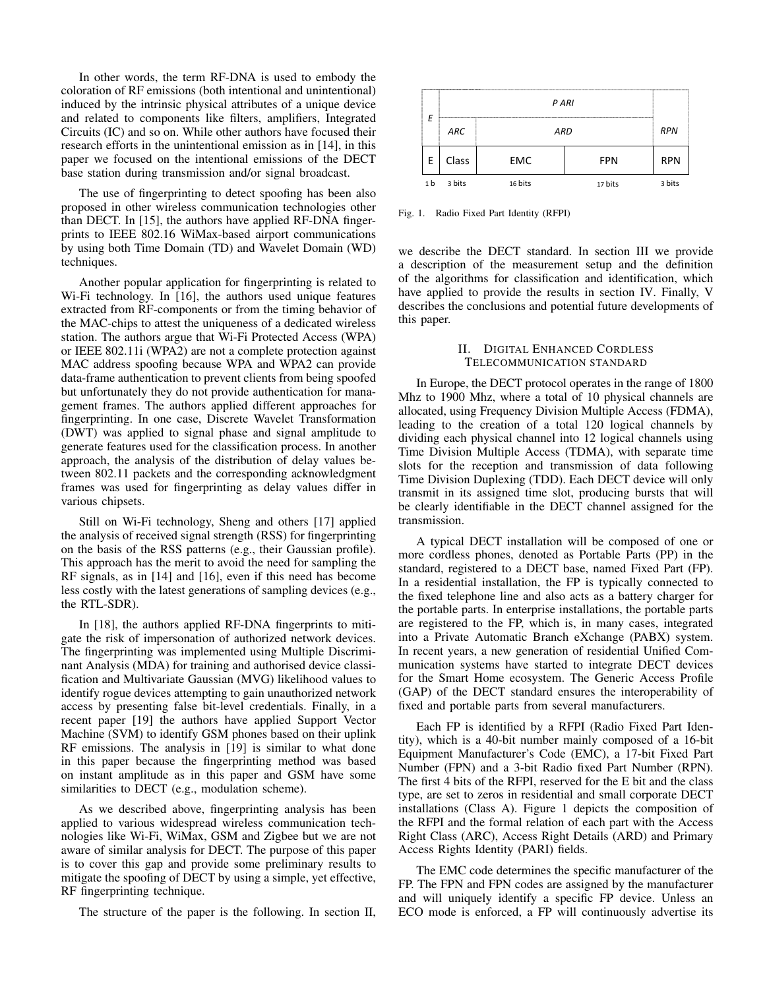In other words, the term RF-DNA is used to embody the coloration of RF emissions (both intentional and unintentional) induced by the intrinsic physical attributes of a unique device and related to components like filters, amplifiers, Integrated Circuits (IC) and so on. While other authors have focused their research efforts in the unintentional emission as in [14], in this paper we focused on the intentional emissions of the DECT base station during transmission and/or signal broadcast.

The use of fingerprinting to detect spoofing has been also proposed in other wireless communication technologies other than DECT. In [15], the authors have applied RF-DNA fingerprints to IEEE 802.16 WiMax-based airport communications by using both Time Domain (TD) and Wavelet Domain (WD) techniques.

Another popular application for fingerprinting is related to Wi-Fi technology. In [16], the authors used unique features extracted from RF-components or from the timing behavior of the MAC-chips to attest the uniqueness of a dedicated wireless station. The authors argue that Wi-Fi Protected Access (WPA) or IEEE 802.11i (WPA2) are not a complete protection against MAC address spoofing because WPA and WPA2 can provide data-frame authentication to prevent clients from being spoofed but unfortunately they do not provide authentication for management frames. The authors applied different approaches for fingerprinting. In one case, Discrete Wavelet Transformation (DWT) was applied to signal phase and signal amplitude to generate features used for the classification process. In another approach, the analysis of the distribution of delay values between 802.11 packets and the corresponding acknowledgment frames was used for fingerprinting as delay values differ in various chipsets.

Still on Wi-Fi technology, Sheng and others [17] applied the analysis of received signal strength (RSS) for fingerprinting on the basis of the RSS patterns (e.g., their Gaussian profile). This approach has the merit to avoid the need for sampling the RF signals, as in [14] and [16], even if this need has become less costly with the latest generations of sampling devices (e.g., the RTL-SDR).

In [18], the authors applied RF-DNA fingerprints to mitigate the risk of impersonation of authorized network devices. The fingerprinting was implemented using Multiple Discriminant Analysis (MDA) for training and authorised device classification and Multivariate Gaussian (MVG) likelihood values to identify rogue devices attempting to gain unauthorized network access by presenting false bit-level credentials. Finally, in a recent paper [19] the authors have applied Support Vector Machine (SVM) to identify GSM phones based on their uplink RF emissions. The analysis in [19] is similar to what done in this paper because the fingerprinting method was based on instant amplitude as in this paper and GSM have some similarities to DECT (e.g., modulation scheme).

As we described above, fingerprinting analysis has been applied to various widespread wireless communication technologies like Wi-Fi, WiMax, GSM and Zigbee but we are not aware of similar analysis for DECT. The purpose of this paper is to cover this gap and provide some preliminary results to mitigate the spoofing of DECT by using a simple, yet effective, RF fingerprinting technique.

The structure of the paper is the following. In section II,



Fig. 1. Radio Fixed Part Identity (RFPI)

we describe the DECT standard. In section III we provide a description of the measurement setup and the definition of the algorithms for classification and identification, which have applied to provide the results in section IV. Finally, V describes the conclusions and potential future developments of this paper.

## II. DIGITAL ENHANCED CORDLESS TELECOMMUNICATION STANDARD

In Europe, the DECT protocol operates in the range of 1800 Mhz to 1900 Mhz, where a total of 10 physical channels are allocated, using Frequency Division Multiple Access (FDMA), leading to the creation of a total 120 logical channels by dividing each physical channel into 12 logical channels using Time Division Multiple Access (TDMA), with separate time slots for the reception and transmission of data following Time Division Duplexing (TDD). Each DECT device will only transmit in its assigned time slot, producing bursts that will be clearly identifiable in the DECT channel assigned for the transmission.

A typical DECT installation will be composed of one or more cordless phones, denoted as Portable Parts (PP) in the standard, registered to a DECT base, named Fixed Part (FP). In a residential installation, the FP is typically connected to the fixed telephone line and also acts as a battery charger for the portable parts. In enterprise installations, the portable parts are registered to the FP, which is, in many cases, integrated into a Private Automatic Branch eXchange (PABX) system. In recent years, a new generation of residential Unified Communication systems have started to integrate DECT devices for the Smart Home ecosystem. The Generic Access Profile (GAP) of the DECT standard ensures the interoperability of fixed and portable parts from several manufacturers.

Each FP is identified by a RFPI (Radio Fixed Part Identity), which is a 40-bit number mainly composed of a 16-bit Equipment Manufacturer's Code (EMC), a 17-bit Fixed Part Number (FPN) and a 3-bit Radio fixed Part Number (RPN). The first 4 bits of the RFPI, reserved for the E bit and the class type, are set to zeros in residential and small corporate DECT installations (Class A). Figure 1 depicts the composition of the RFPI and the formal relation of each part with the Access Right Class (ARC), Access Right Details (ARD) and Primary Access Rights Identity (PARI) fields.

The EMC code determines the specific manufacturer of the FP. The FPN and FPN codes are assigned by the manufacturer and will uniquely identify a specific FP device. Unless an ECO mode is enforced, a FP will continuously advertise its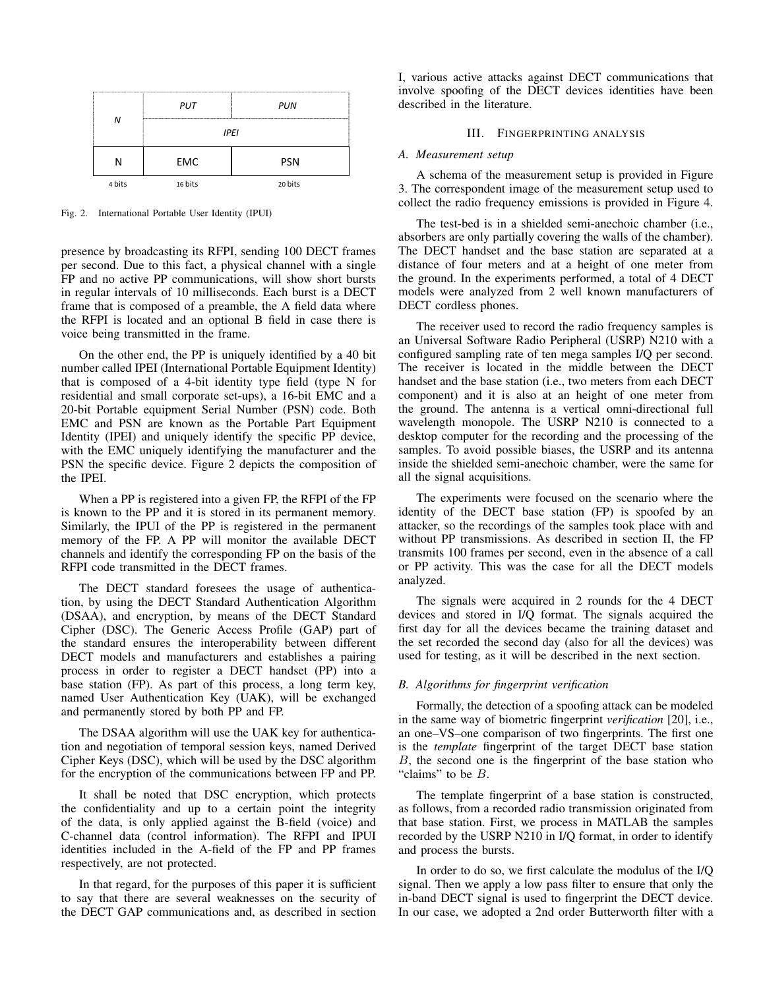

Fig. 2. International Portable User Identity (IPUI)

presence by broadcasting its RFPI, sending 100 DECT frames per second. Due to this fact, a physical channel with a single FP and no active PP communications, will show short bursts in regular intervals of 10 milliseconds. Each burst is a DECT frame that is composed of a preamble, the A field data where the RFPI is located and an optional B field in case there is voice being transmitted in the frame.

On the other end, the PP is uniquely identified by a 40 bit number called IPEI (International Portable Equipment Identity) that is composed of a 4-bit identity type field (type N for residential and small corporate set-ups), a 16-bit EMC and a 20-bit Portable equipment Serial Number (PSN) code. Both EMC and PSN are known as the Portable Part Equipment Identity (IPEI) and uniquely identify the specific PP device, with the EMC uniquely identifying the manufacturer and the PSN the specific device. Figure 2 depicts the composition of the IPEI.

When a PP is registered into a given FP, the RFPI of the FP is known to the PP and it is stored in its permanent memory. Similarly, the IPUI of the PP is registered in the permanent memory of the FP. A PP will monitor the available DECT channels and identify the corresponding FP on the basis of the RFPI code transmitted in the DECT frames.

The DECT standard foresees the usage of authentication, by using the DECT Standard Authentication Algorithm (DSAA), and encryption, by means of the DECT Standard Cipher (DSC). The Generic Access Profile (GAP) part of the standard ensures the interoperability between different DECT models and manufacturers and establishes a pairing process in order to register a DECT handset (PP) into a base station (FP). As part of this process, a long term key, named User Authentication Key (UAK), will be exchanged and permanently stored by both PP and FP.

The DSAA algorithm will use the UAK key for authentication and negotiation of temporal session keys, named Derived Cipher Keys (DSC), which will be used by the DSC algorithm for the encryption of the communications between FP and PP.

It shall be noted that DSC encryption, which protects the confidentiality and up to a certain point the integrity of the data, is only applied against the B-field (voice) and C-channel data (control information). The RFPI and IPUI identities included in the A-field of the FP and PP frames respectively, are not protected.

In that regard, for the purposes of this paper it is sufficient to say that there are several weaknesses on the security of the DECT GAP communications and, as described in section I, various active attacks against DECT communications that involve spoofing of the DECT devices identities have been described in the literature.

## III. FINGERPRINTING ANALYSIS

#### *A. Measurement setup*

A schema of the measurement setup is provided in Figure 3. The correspondent image of the measurement setup used to collect the radio frequency emissions is provided in Figure 4.

The test-bed is in a shielded semi-anechoic chamber (i.e., absorbers are only partially covering the walls of the chamber). The DECT handset and the base station are separated at a distance of four meters and at a height of one meter from the ground. In the experiments performed, a total of 4 DECT models were analyzed from 2 well known manufacturers of DECT cordless phones.

The receiver used to record the radio frequency samples is an Universal Software Radio Peripheral (USRP) N210 with a configured sampling rate of ten mega samples I/Q per second. The receiver is located in the middle between the DECT handset and the base station (i.e., two meters from each DECT component) and it is also at an height of one meter from the ground. The antenna is a vertical omni-directional full wavelength monopole. The USRP N210 is connected to a desktop computer for the recording and the processing of the samples. To avoid possible biases, the USRP and its antenna inside the shielded semi-anechoic chamber, were the same for all the signal acquisitions.

The experiments were focused on the scenario where the identity of the DECT base station (FP) is spoofed by an attacker, so the recordings of the samples took place with and without PP transmissions. As described in section II, the FP transmits 100 frames per second, even in the absence of a call or PP activity. This was the case for all the DECT models analyzed.

The signals were acquired in 2 rounds for the 4 DECT devices and stored in I/Q format. The signals acquired the first day for all the devices became the training dataset and the set recorded the second day (also for all the devices) was used for testing, as it will be described in the next section.

#### *B. Algorithms for fingerprint verification*

Formally, the detection of a spoofing attack can be modeled in the same way of biometric fingerprint *verification* [20], i.e., an one–VS–one comparison of two fingerprints. The first one is the *template* fingerprint of the target DECT base station B, the second one is the fingerprint of the base station who "claims" to be  $B$ .

The template fingerprint of a base station is constructed, as follows, from a recorded radio transmission originated from that base station. First, we process in MATLAB the samples recorded by the USRP N210 in I/Q format, in order to identify and process the bursts.

In order to do so, we first calculate the modulus of the I/Q signal. Then we apply a low pass filter to ensure that only the in-band DECT signal is used to fingerprint the DECT device. In our case, we adopted a 2nd order Butterworth filter with a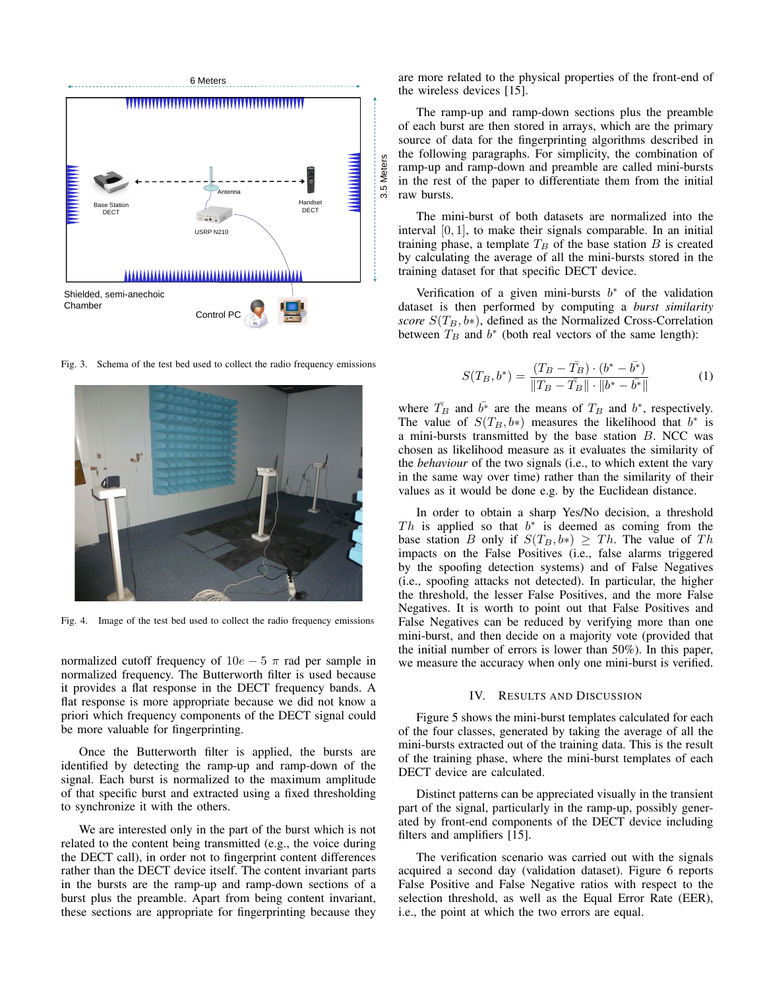

Fig. 3. Schema of the test bed used to collect the radio frequency emissions



Fig. 4. Image of the test bed used to collect the radio frequency emissions

normalized cutoff frequency of  $10e - 5 \pi$  rad per sample in normalized frequency. The Butterworth filter is used because it provides a flat response in the DECT frequency bands. A flat response is more appropriate because we did not know a priori which frequency components of the DECT signal could be more valuable for fingerprinting.

Once the Butterworth filter is applied, the bursts are identified by detecting the ramp-up and ramp-down of the signal. Each burst is normalized to the maximum amplitude of that specific burst and extracted using a fixed thresholding to synchronize it with the others.

We are interested only in the part of the burst which is not related to the content being transmitted (e.g., the voice during the DECT call), in order not to fingerprint content differences rather than the DECT device itself. The content invariant parts in the bursts are the ramp-up and ramp-down sections of a burst plus the preamble. Apart from being content invariant, these sections are appropriate for fingerprinting because they

are more related to the physical properties of the front-end of the wireless devices [15].

The ramp-up and ramp-down sections plus the preamble of each burst are then stored in arrays, which are the primary source of data for the fingerprinting algorithms described in the following paragraphs. For simplicity, the combination of ramp-up and ramp-down and preamble are called mini-bursts in the rest of the paper to differentiate them from the initial raw bursts.

The mini-burst of both datasets are normalized into the interval  $[0, 1]$ , to make their signals comparable. In an initial training phase, a template  $T_B$  of the base station  $B$  is created by calculating the average of all the mini-bursts stored in the training dataset for that specific DECT device.

Verification of a given mini-bursts  $b^*$  of the validation dataset is then performed by computing a *burst similarity score*  $S(T_B, b*)$ , defined as the Normalized Cross-Correlation between  $T_B$  and  $b^*$  (both real vectors of the same length):

$$
S(T_B, b^*) = \frac{(T_B - \bar{T}_B) \cdot (b^* - \bar{b^*})}{\|T_B - \bar{T}_B\| \cdot \|b^* - \bar{b^*}\|}
$$
(1)

where  $\bar{T}_B$  and  $\bar{b^*}$  are the means of  $T_B$  and  $b^*$ , respectively. The value of  $S(T_B, b*)$  measures the likelihood that  $b^*$  is a mini-bursts transmitted by the base station  $B$ . NCC was chosen as likelihood measure as it evaluates the similarity of the *behaviour* of the two signals (i.e., to which extent the vary in the same way over time) rather than the similarity of their values as it would be done e.g. by the Euclidean distance.

In order to obtain a sharp Yes/No decision, a threshold Th is applied so that  $b^*$  is deemed as coming from the base station B only if  $S(T_B, b*) \geq Th$ . The value of Th impacts on the False Positives (i.e., false alarms triggered by the spoofing detection systems) and of False Negatives (i.e., spoofing attacks not detected). In particular, the higher the threshold, the lesser False Positives, and the more False Negatives. It is worth to point out that False Positives and False Negatives can be reduced by verifying more than one mini-burst, and then decide on a majority vote (provided that the initial number of errors is lower than 50%). In this paper, we measure the accuracy when only one mini-burst is verified.

### IV. RESULTS AND DISCUSSION

Figure 5 shows the mini-burst templates calculated for each of the four classes, generated by taking the average of all the mini-bursts extracted out of the training data. This is the result of the training phase, where the mini-burst templates of each DECT device are calculated.

Distinct patterns can be appreciated visually in the transient part of the signal, particularly in the ramp-up, possibly generated by front-end components of the DECT device including filters and amplifiers [15].

The verification scenario was carried out with the signals acquired a second day (validation dataset). Figure 6 reports False Positive and False Negative ratios with respect to the selection threshold, as well as the Equal Error Rate (EER), i.e., the point at which the two errors are equal.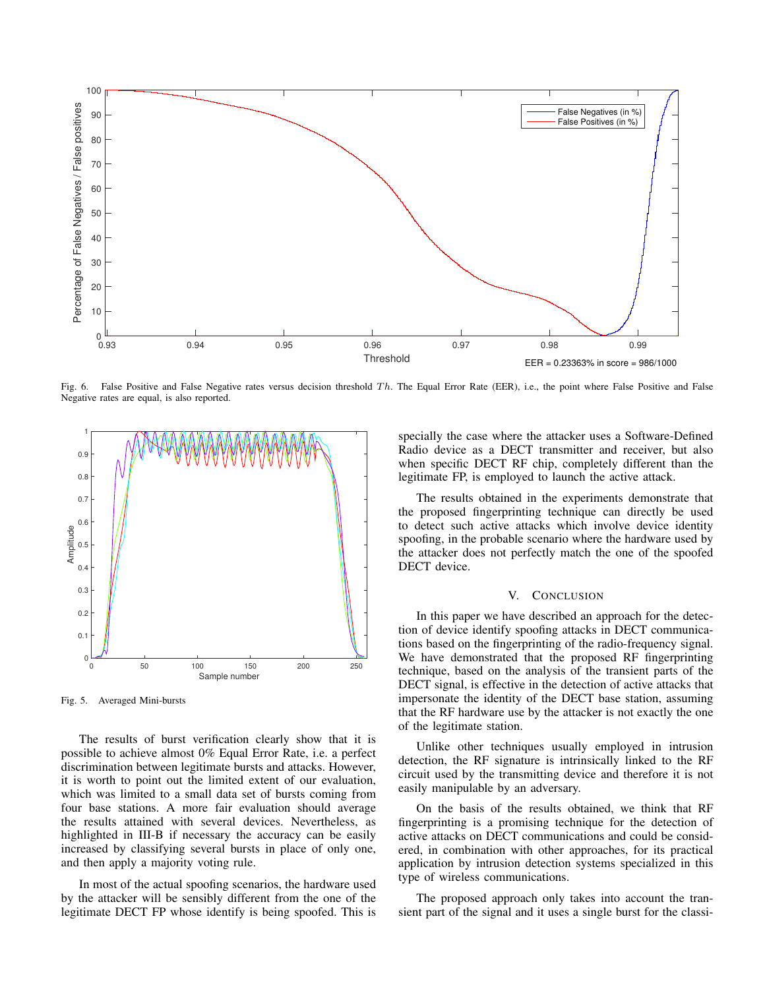

Fig. 6. False Positive and False Negative rates versus decision threshold Th. The Equal Error Rate (EER), i.e., the point where False Positive and False Negative rates are equal, is also reported.



Fig. 5. Averaged Mini-bursts

The results of burst verification clearly show that it is possible to achieve almost 0% Equal Error Rate, i.e. a perfect discrimination between legitimate bursts and attacks. However, it is worth to point out the limited extent of our evaluation, which was limited to a small data set of bursts coming from four base stations. A more fair evaluation should average the results attained with several devices. Nevertheless, as highlighted in III-B if necessary the accuracy can be easily increased by classifying several bursts in place of only one, and then apply a majority voting rule.

In most of the actual spoofing scenarios, the hardware used by the attacker will be sensibly different from the one of the legitimate DECT FP whose identify is being spoofed. This is

specially the case where the attacker uses a Software-Defined Radio device as a DECT transmitter and receiver, but also when specific DECT RF chip, completely different than the legitimate FP, is employed to launch the active attack.

The results obtained in the experiments demonstrate that the proposed fingerprinting technique can directly be used to detect such active attacks which involve device identity spoofing, in the probable scenario where the hardware used by the attacker does not perfectly match the one of the spoofed DECT device.

## V. CONCLUSION

In this paper we have described an approach for the detection of device identify spoofing attacks in DECT communications based on the fingerprinting of the radio-frequency signal. We have demonstrated that the proposed RF fingerprinting technique, based on the analysis of the transient parts of the DECT signal, is effective in the detection of active attacks that impersonate the identity of the DECT base station, assuming that the RF hardware use by the attacker is not exactly the one of the legitimate station.

Unlike other techniques usually employed in intrusion detection, the RF signature is intrinsically linked to the RF circuit used by the transmitting device and therefore it is not easily manipulable by an adversary.

On the basis of the results obtained, we think that RF fingerprinting is a promising technique for the detection of active attacks on DECT communications and could be considered, in combination with other approaches, for its practical application by intrusion detection systems specialized in this type of wireless communications.

The proposed approach only takes into account the transient part of the signal and it uses a single burst for the classi